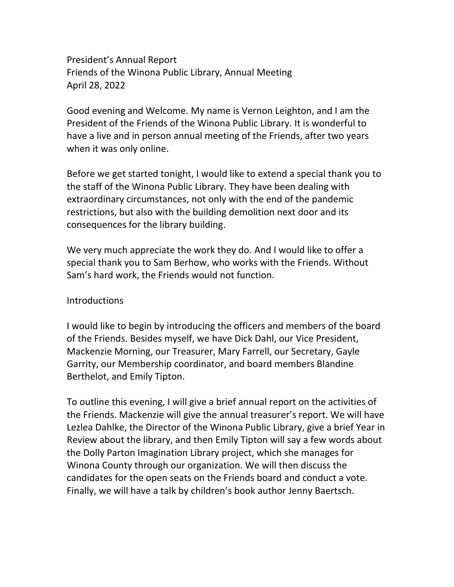President's Annual Report Friends of the Winona Public Library, Annual Meeting April 28, 2022

Good evening and Welcome. My name is Vernon Leighton, and I am the President of the Friends of the Winona Public Library. It is wonderful to have a live and in person annual meeting of the Friends, after two years when it was only online.

Before we get started tonight, I would like to extend a special thank you to the staff of the Winona Public Library. They have been dealing with extraordinary circumstances, not only with the end of the pandemic restrictions, but also with the building demolition next door and its consequences for the library building.

We very much appreciate the work they do. And I would like to offer a special thank you to Sam Berhow, who works with the Friends. Without Sam's hard work, the Friends would not function.

## **Introductions**

I would like to begin by introducing the officers and members of the board of the Friends. Besides myself, we have Dick Dahl, our Vice President, Mackenzie Morning, our Treasurer, Mary Farrell, our Secretary, Gayle Garrity, our Membership coordinator, and board members Blandine Berthelot, and Emily Tipton.

To outline this evening, I will give a brief annual report on the activities of the Friends. Mackenzie will give the annual treasurer's report. We will have Lezlea Dahlke, the Director of the Winona Public Library, give a brief Year in Review about the library, and then Emily Tipton will say a few words about the Dolly Parton Imagination Library project, which she manages for Winona County through our organization. We will then discuss the candidates for the open seats on the Friends board and conduct a vote. Finally, we will have a talk by children's book author Jenny Baertsch.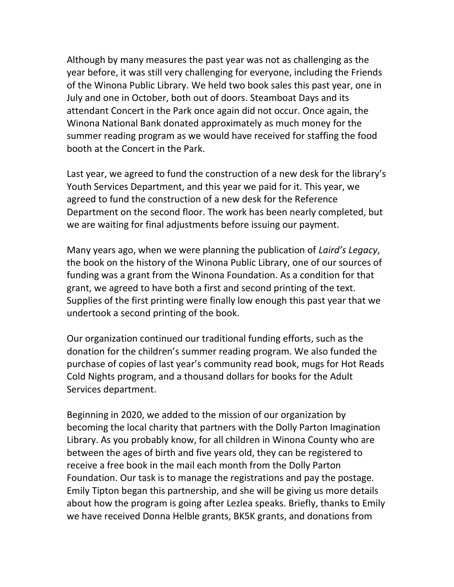Although by many measures the past year was not as challenging as the year before, it was still very challenging for everyone, including the Friends of the Winona Public Library. We held two book sales this past year, one in July and one in October, both out of doors. Steamboat Days and its attendant Concert in the Park once again did not occur. Once again, the Winona National Bank donated approximately as much money for the summer reading program as we would have received for staffing the food booth at the Concert in the Park.

Last year, we agreed to fund the construction of a new desk for the library's Youth Services Department, and this year we paid for it. This year, we agreed to fund the construction of a new desk for the Reference Department on the second floor. The work has been nearly completed, but we are waiting for final adjustments before issuing our payment.

Many years ago, when we were planning the publication of *Laird's Legacy*, the book on the history of the Winona Public Library, one of our sources of funding was a grant from the Winona Foundation. As a condition for that grant, we agreed to have both a first and second printing of the text. Supplies of the first printing were finally low enough this past year that we undertook a second printing of the book.

Our organization continued our traditional funding efforts, such as the donation for the children's summer reading program. We also funded the purchase of copies of last year's community read book, mugs for Hot Reads Cold Nights program, and a thousand dollars for books for the Adult Services department.

Beginning in 2020, we added to the mission of our organization by becoming the local charity that partners with the Dolly Parton Imagination Library. As you probably know, for all children in Winona County who are between the ages of birth and five years old, they can be registered to receive a free book in the mail each month from the Dolly Parton Foundation. Our task is to manage the registrations and pay the postage. Emily Tipton began this partnership, and she will be giving us more details about how the program is going after Lezlea speaks. Briefly, thanks to Emily we have received Donna Helble grants, BK5K grants, and donations from